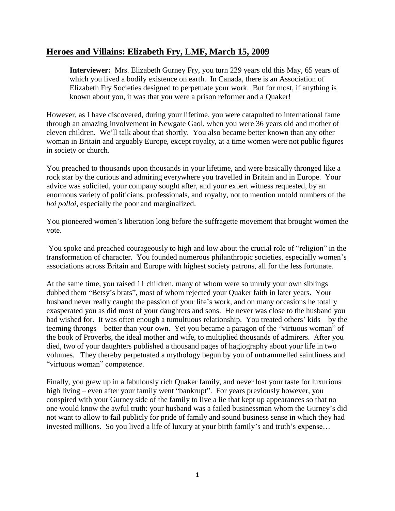## **Heroes and Villains: Elizabeth Fry, LMF, March 15, 2009**

**Interviewer:** Mrs. Elizabeth Gurney Fry, you turn 229 years old this May, 65 years of which you lived a bodily existence on earth. In Canada, there is an Association of Elizabeth Fry Societies designed to perpetuate your work. But for most, if anything is known about you, it was that you were a prison reformer and a Quaker!

However, as I have discovered, during your lifetime, you were catapulted to international fame through an amazing involvement in Newgate Gaol, when you were 36 years old and mother of eleven children. We'll talk about that shortly. You also became better known than any other woman in Britain and arguably Europe, except royalty, at a time women were not public figures in society or church.

You preached to thousands upon thousands in your lifetime, and were basically thronged like a rock star by the curious and admiring everywhere you travelled in Britain and in Europe. Your advice was solicited, your company sought after, and your expert witness requested, by an enormous variety of politicians, professionals, and royalty, not to mention untold numbers of the *hoi polloi*, especially the poor and marginalized.

You pioneered women's liberation long before the suffragette movement that brought women the vote.

You spoke and preached courageously to high and low about the crucial role of "religion" in the transformation of character. You founded numerous philanthropic societies, especially women's associations across Britain and Europe with highest society patrons, all for the less fortunate.

At the same time, you raised 11 children, many of whom were so unruly your own siblings dubbed them "Betsy's brats", most of whom rejected your Quaker faith in later years. Your husband never really caught the passion of your life's work, and on many occasions he totally exasperated you as did most of your daughters and sons. He never was close to the husband you had wished for. It was often enough a tumultuous relationship. You treated others' kids – by the teeming throngs – better than your own. Yet you became a paragon of the "virtuous woman" of the book of Proverbs, the ideal mother and wife, to multiplied thousands of admirers. After you died, two of your daughters published a thousand pages of hagiography about your life in two volumes. They thereby perpetuated a mythology begun by you of untrammelled saintliness and "virtuous woman" competence.

Finally, you grew up in a fabulously rich Quaker family, and never lost your taste for luxurious high living – even after your family went "bankrupt". For years previously however, you conspired with your Gurney side of the family to live a lie that kept up appearances so that no one would know the awful truth: your husband was a failed businessman whom the Gurney's did not want to allow to fail publicly for pride of family and sound business sense in which they had invested millions. So you lived a life of luxury at your birth family's and truth's expense…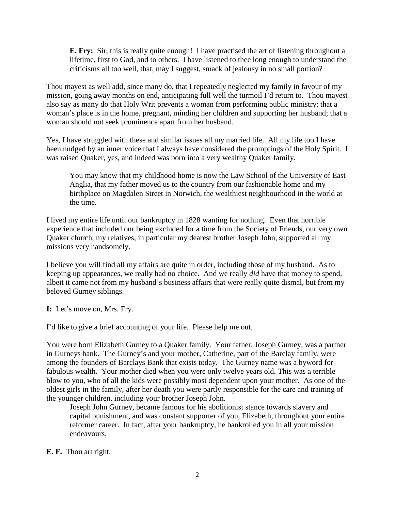**E. Fry:** Sir, this is really quite enough! I have practised the art of listening throughout a lifetime, first to God, and to others. I have listened to thee long enough to understand the criticisms all too well, that, may I suggest, smack of jealousy in no small portion?

Thou mayest as well add, since many do, that I repeatedly neglected my family in favour of my mission, going away months on end, anticipating full well the turmoil I'd return to. Thou mayest also say as many do that Holy Writ prevents a woman from performing public ministry; that a woman's place is in the home, pregnant, minding her children and supporting her husband; that a woman should not seek prominence apart from her husband.

Yes, I have struggled with these and similar issues all my married life. All my life too I have been nudged by an inner voice that I always have considered the promptings of the Holy Spirit. I was raised Quaker, yes, and indeed was born into a very wealthy Quaker family.

You may know that my childhood home is now the Law School of the University of East Anglia, that my father moved us to the country from our fashionable home and my birthplace on Magdalen Street in Norwich, the wealthiest neighbourhood in the world at the time.

I lived my entire life until our bankruptcy in 1828 wanting for nothing. Even that horrible experience that included our being excluded for a time from the Society of Friends, our very own Quaker church, my relatives, in particular my dearest brother Joseph John, supported all my missions very handsomely.

I believe you will find all my affairs are quite in order, including those of my husband. As to keeping up appearances, we really had no choice. And we really *did* have that money to spend, albeit it came not from my husband's business affairs that were really quite dismal, but from my beloved Gurney siblings.

**I:** Let's move on, Mrs. Fry.

I'd like to give a brief accounting of your life. Please help me out.

You were born Elizabeth Gurney to a Quaker family. Your father, Joseph Gurney, was a partner in Gurneys bank. The Gurney's and your mother, Catherine, part of the Barclay family, were among the founders of Barclays Bank that exists today. The Gurney name was a byword for fabulous wealth. Your mother died when you were only twelve years old. This was a terrible blow to you, who of all the kids were possibly most dependent upon your mother. As one of the oldest girls in the family, after her death you were partly responsible for the care and training of the younger children, including your brother Joseph John.

Joseph John Gurney, became famous for his abolitionist stance towards slavery and capital punishment, and was constant supporter of you, Elizabeth, throughout your entire reformer career. In fact, after your bankruptcy, he bankrolled you in all your mission endeavours.

**E. F.** Thou art right.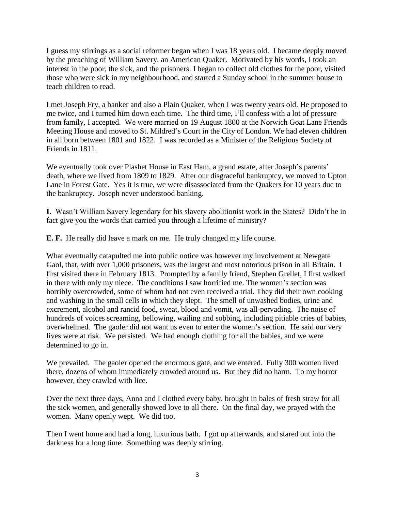I guess my stirrings as a social reformer began when I was 18 years old. I became deeply moved by the preaching of William Savery, an American Quaker. Motivated by his words, I took an interest in the poor, the sick, and the prisoners. I began to collect old clothes for the poor, visited those who were sick in my neighbourhood, and started a Sunday school in the summer house to teach children to read.

I met Joseph Fry, a banker and also a Plain Quaker, when I was twenty years old. He proposed to me twice, and I turned him down each time. The third time, I'll confess with a lot of pressure from family, I accepted. We were married on 19 August 1800 at the Norwich Goat Lane Friends Meeting House and moved to St. Mildred's Court in the City of London. We had eleven children in all born between 1801 and 1822. I was recorded as a Minister of the Religious Society of Friends in 1811.

We eventually took over Plashet House in East Ham, a grand estate, after Joseph's parents' death, where we lived from 1809 to 1829. After our disgraceful bankruptcy, we moved to Upton Lane in Forest Gate. Yes it is true, we were disassociated from the Quakers for 10 years due to the bankruptcy. Joseph never understood banking.

**I.** Wasn't William Savery legendary for his slavery abolitionist work in the States? Didn't he in fact give you the words that carried you through a lifetime of ministry?

**E. F.** He really did leave a mark on me. He truly changed my life course.

What eventually catapulted me into public notice was however my involvement at Newgate Gaol, that, with over 1,000 prisoners, was the largest and most notorious prison in all Britain. I first visited there in February 1813. Prompted by a family friend, Stephen Grellet, I first walked in there with only my niece. The conditions I saw horrified me. The women's section was horribly overcrowded, some of whom had not even received a trial. They did their own cooking and washing in the small cells in which they slept. The smell of unwashed bodies, urine and excrement, alcohol and rancid food, sweat, blood and vomit, was all-pervading. The noise of hundreds of voices screaming, bellowing, wailing and sobbing, including pitiable cries of babies, overwhelmed. The gaoler did not want us even to enter the women's section. He said our very lives were at risk. We persisted. We had enough clothing for all the babies, and we were determined to go in.

We prevailed. The gaoler opened the enormous gate, and we entered. Fully 300 women lived there, dozens of whom immediately crowded around us. But they did no harm. To my horror however, they crawled with lice.

Over the next three days, Anna and I clothed every baby, brought in bales of fresh straw for all the sick women, and generally showed love to all there. On the final day, we prayed with the women. Many openly wept. We did too.

Then I went home and had a long, luxurious bath. I got up afterwards, and stared out into the darkness for a long time. Something was deeply stirring.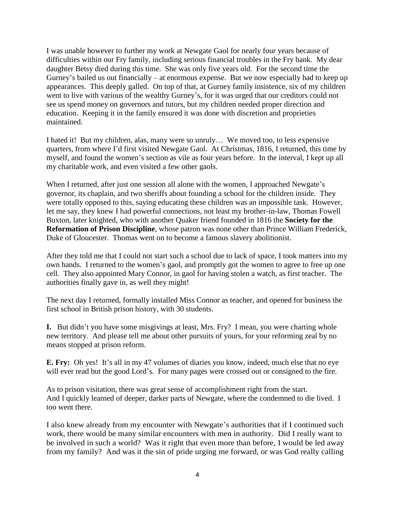I was unable however to further my work at Newgate Gaol for nearly four years because of difficulties within our Fry family, including serious financial troubles in the Fry bank. My dear daughter Betsy died during this time. She was only five years old. For the second time the Gurney's bailed us out financially – at enormous expense. But we now especially had to keep up appearances. This deeply galled. On top of that, at Gurney family insistence, six of my children went to live with various of the wealthy Gurney's, for it was urged that our creditors could not see us spend money on governors and tutors, but my children needed proper direction and education. Keeping it in the family ensured it was done with discretion and proprieties maintained.

I hated it! But my children, alas, many were so unruly… We moved too, to less expensive quarters, from where I'd first visited Newgate Gaol. At Christmas, 1816, I returned, this time by myself, and found the women's section as vile as four years before. In the interval, I kept up all my charitable work, and even visited a few other gaols.

When I returned, after just one session all alone with the women, I approached Newgate's governor, its chaplain, and two sheriffs about founding a school for the children inside. They were totally opposed to this, saying educating these children was an impossible task. However, let me say, they knew I had powerful connections, not least my brother-in-law, Thomas Fowell Buxton, later knighted, who with another Quaker friend founded in 1816 the **Society for the Reformation of Prison Discipline**, whose patron was none other than Prince William Frederick, Duke of Gloucester. Thomas went on to become a famous slavery abolitionist.

After they told me that I could not start such a school due to lack of space, I took matters into my own hands. I returned to the women's gaol, and promptly got the women to agree to free up one cell. They also appointed Mary Connor, in gaol for having stolen a watch, as first teacher. The authorities finally gave in, as well they might!

The next day I returned, formally installed Miss Connor as teacher, and opened for business the first school in British prison history, with 30 students.

**I.** But didn't you have some misgivings at least, Mrs. Fry? I mean, you were charting whole new territory. And please tell me about other pursuits of yours, for your reforming zeal by no means stopped at prison reform.

**E. Fry:** Oh yes! It's all in my 47 volumes of diaries you know, indeed, much else that no eye will ever read but the good Lord's. For many pages were crossed out or consigned to the fire.

As to prison visitation, there was great sense of accomplishment right from the start. And I quickly learned of deeper, darker parts of Newgate, where the condemned to die lived. I too went there.

I also knew already from my encounter with Newgate's authorities that if I continued such work, there would be many similar encounters with men in authority. Did I really want to be involved in such a world? Was it right that even more than before, I would be led away from my family? And was it the sin of pride urging me forward, or was God really calling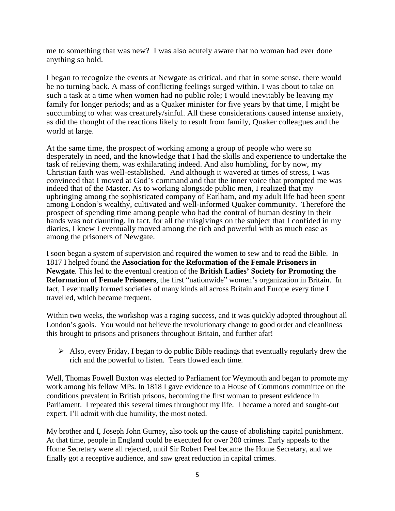me to something that was new? I was also acutely aware that no woman had ever done anything so bold.

I began to recognize the events at Newgate as critical, and that in some sense, there would be no turning back. A mass of conflicting feelings surged within. I was about to take on such a task at a time when women had no public role; I would inevitably be leaving my family for longer periods; and as a Quaker minister for five years by that time, I might be succumbing to what was creaturely/sinful. All these considerations caused intense anxiety, as did the thought of the reactions likely to result from family, Quaker colleagues and the world at large.

At the same time, the prospect of working among a group of people who were so desperately in need, and the knowledge that I had the skills and experience to undertake the task of relieving them, was exhilarating indeed. And also humbling, for by now, my Christian faith was well-established. And although it wavered at times of stress, I was convinced that I moved at God's command and that the inner voice that prompted me was indeed that of the Master. As to working alongside public men, I realized that my upbringing among the sophisticated company of Earlham, and my adult life had been spent among London's wealthy, cultivated and well-informed Quaker community. Therefore the prospect of spending time among people who had the control of human destiny in their hands was not daunting. In fact, for all the misgivings on the subject that I confided in my diaries, I knew I eventually moved among the rich and powerful with as much ease as among the prisoners of Newgate.

I soon began a system of supervision and required the women to sew and to read the Bible. In 1817 I helped found the **Association for the Reformation of the Female Prisoners in Newgate**. This led to the eventual creation of the **British Ladies' Society for Promoting the Reformation of Female Prisoners**, the first "nationwide" women's organization in Britain. In fact, I eventually formed societies of many kinds all across Britain and Europe every time I travelled, which became frequent.

Within two weeks, the workshop was a raging success, and it was quickly adopted throughout all London's gaols. You would not believe the revolutionary change to good order and cleanliness this brought to prisons and prisoners throughout Britain, and further afar!

 $\triangleright$  Also, every Friday, I began to do public Bible readings that eventually regularly drew the rich and the powerful to listen. Tears flowed each time.

Well, Thomas Fowell Buxton was elected to Parliament for Weymouth and began to promote my work among his fellow MPs. In 1818 I gave evidence to a House of Commons committee on the conditions prevalent in British prisons, becoming the first woman to present evidence in Parliament. I repeated this several times throughout my life. I became a noted and sought-out expert, I'll admit with due humility, the most noted.

My brother and I, Joseph John Gurney, also took up the cause of abolishing capital punishment. At that time, people in England could be executed for over 200 crimes. Early appeals to the Home Secretary were all rejected, until Sir Robert Peel became the Home Secretary, and we finally got a receptive audience, and saw great reduction in capital crimes.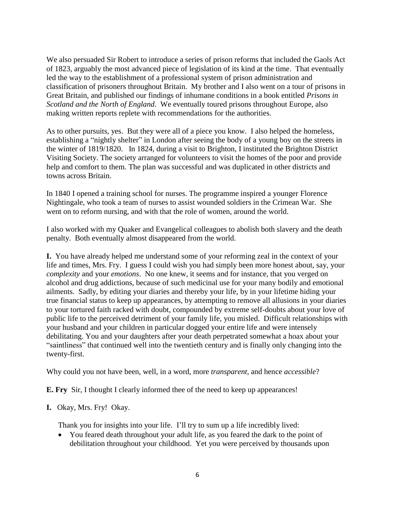We also persuaded Sir Robert to introduce a series of prison reforms that included the Gaols Act of 1823, arguably the most advanced piece of legislation of its kind at the time. That eventually led the way to the establishment of a professional system of prison administration and classification of prisoners throughout Britain. My brother and I also went on a tour of prisons in Great Britain, and published our findings of inhumane conditions in a book entitled *Prisons in Scotland and the North of England*. We eventually toured prisons throughout Europe, also making written reports replete with recommendations for the authorities.

As to other pursuits, yes. But they were all of a piece you know. I also helped the homeless, establishing a "nightly shelter" in London after seeing the body of a young boy on the streets in the winter of 1819/1820. In 1824, during a visit to Brighton, I instituted the Brighton District Visiting Society. The society arranged for volunteers to visit the homes of the poor and provide help and comfort to them. The plan was successful and was duplicated in other districts and towns across Britain.

In 1840 I opened a training school for nurses. The programme inspired a younger Florence Nightingale, who took a team of nurses to assist wounded soldiers in the Crimean War. She went on to reform nursing, and with that the role of women, around the world.

I also worked with my Quaker and Evangelical colleagues to abolish both slavery and the death penalty. Both eventually almost disappeared from the world.

**I.** You have already helped me understand some of your reforming zeal in the context of your life and times, Mrs. Fry. I guess I could wish you had simply been more honest about, say, your *complexity* and your *emotions*. No one knew, it seems and for instance, that you verged on alcohol and drug addictions, because of such medicinal use for your many bodily and emotional ailments. Sadly, by editing your diaries and thereby your life, by in your lifetime hiding your true financial status to keep up appearances, by attempting to remove all allusions in your diaries to your tortured faith racked with doubt, compounded by extreme self-doubts about your love of public life to the perceived detriment of your family life, you misled. Difficult relationships with your husband and your children in particular dogged your entire life and were intensely debilitating. You and your daughters after your death perpetrated somewhat a hoax about your "saintliness" that continued well into the twentieth century and is finally only changing into the twenty-first.

Why could you not have been, well, in a word, more *transparent*, and hence *accessible*?

**E. Fry** Sir, I thought I clearly informed thee of the need to keep up appearances!

**I.** Okay, Mrs. Fry!Okay.

Thank you for insights into your life.I'll try to sum up a life incredibly lived:

 You feared death throughout your adult life, as you feared the dark to the point of debilitation throughout your childhood. Yet you were perceived by thousands upon